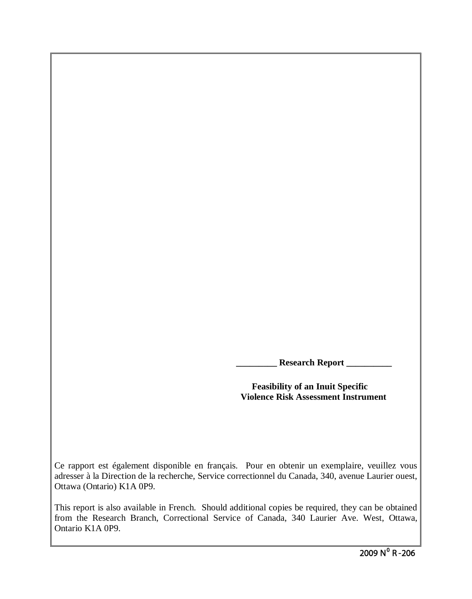**Research Report \_\_\_\_\_\_\_\_\_** 

 **Feasibility of an Inuit Specific Violence Risk Assessment Instrument**

Ce rapport est également disponible en français. Pour en obtenir un exemplaire, veuillez vous adresser à la Direction de la recherche, Service correctionnel du Canada, 340, avenue Laurier ouest, Ottawa (Ontario) K1A 0P9.

This report is also available in French. Should additional copies be required, they can be obtained from the Research Branch, Correctional Service of Canada, 340 Laurier Ave. West, Ottawa, Ontario K1A 0P9.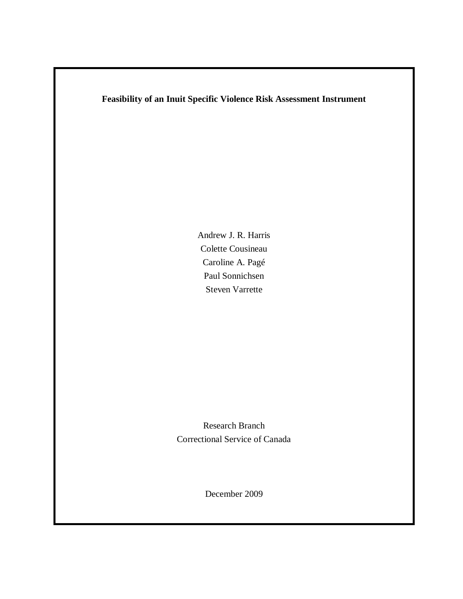### **Feasibility of an Inuit Specific Violence Risk Assessment Instrument**

Andrew J. R. Harris Colette Cousineau Caroline A. Pagé Paul Sonnichsen Steven Varrette

Research Branch Correctional Service of Canada

December 2009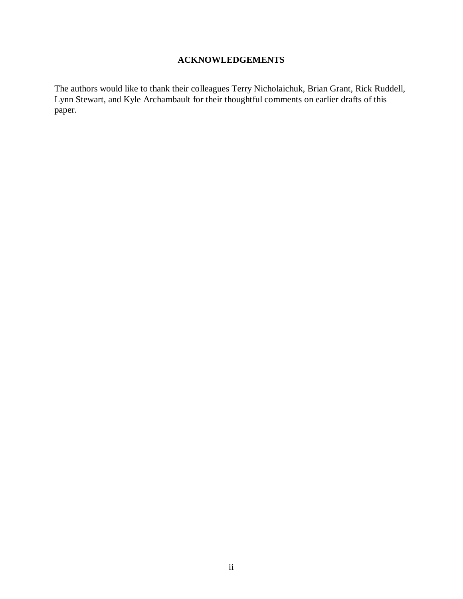## **ACKNOWLEDGEMENTS**

The authors would like to thank their colleagues Terry Nicholaichuk, Brian Grant, Rick Ruddell, Lynn Stewart, and Kyle Archambault for their thoughtful comments on earlier drafts of this paper.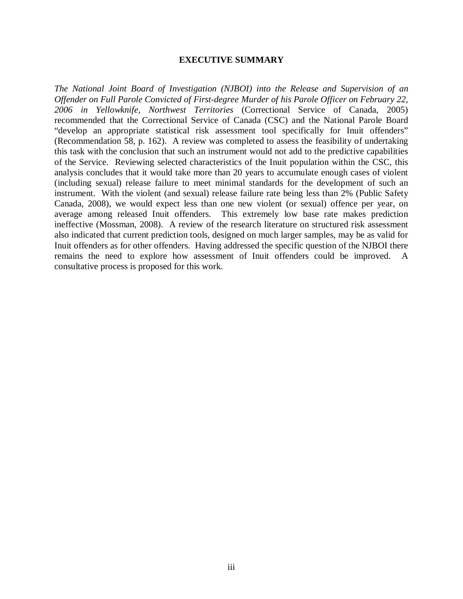#### **EXECUTIVE SUMMARY**

*The National Joint Board of Investigation (NJBOI) into the Release and Supervision of an Offender on Full Parole Convicted of First-degree Murder of his Parole Officer on February 22, 2006 in Yellowknife, Northwest Territories* (Correctional Service of Canada, 2005) recommended that the Correctional Service of Canada (CSC) and the National Parole Board "develop an appropriate statistical risk assessment tool specifically for Inuit offenders" (Recommendation 58, p. 162). A review was completed to assess the feasibility of undertaking this task with the conclusion that such an instrument would not add to the predictive capabilities of the Service. Reviewing selected characteristics of the Inuit population within the CSC, this analysis concludes that it would take more than 20 years to accumulate enough cases of violent (including sexual) release failure to meet minimal standards for the development of such an instrument. With the violent (and sexual) release failure rate being less than 2% (Public Safety Canada, 2008), we would expect less than one new violent (or sexual) offence per year, on average among released Inuit offenders. This extremely low base rate makes prediction ineffective (Mossman, 2008). A review of the research literature on structured risk assessment also indicated that current prediction tools, designed on much larger samples, may be as valid for Inuit offenders as for other offenders. Having addressed the specific question of the NJBOI there remains the need to explore how assessment of Inuit offenders could be improved. A consultative process is proposed for this work.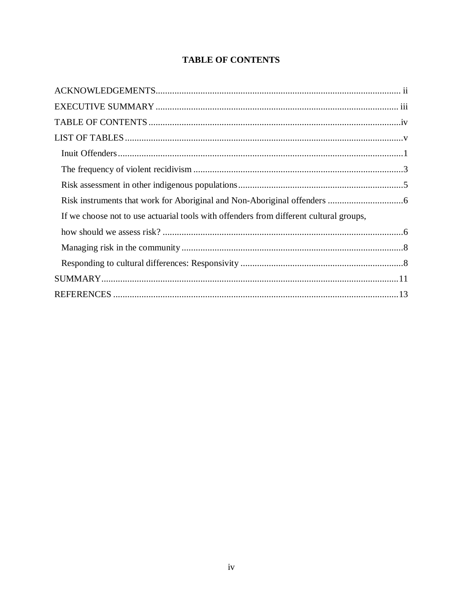# **TABLE OF CONTENTS**

| If we choose not to use actuarial tools with offenders from different cultural groups, |  |
|----------------------------------------------------------------------------------------|--|
|                                                                                        |  |
|                                                                                        |  |
|                                                                                        |  |
|                                                                                        |  |
|                                                                                        |  |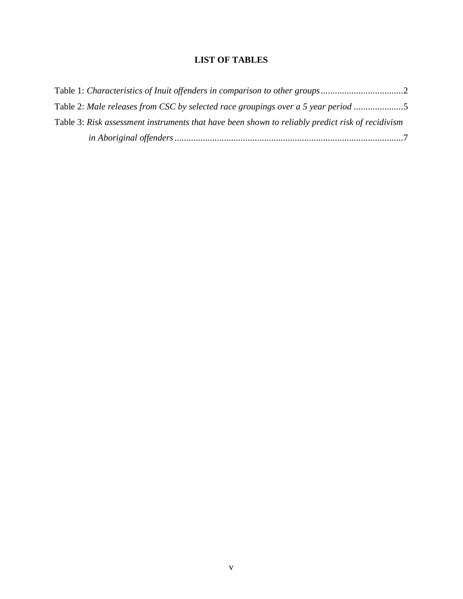## **LIST OF TABLES**

| Table 2: Male releases from CSC by selected race groupings over a 5 year period                  |  |
|--------------------------------------------------------------------------------------------------|--|
| Table 3: Risk assessment instruments that have been shown to reliably predict risk of recidivism |  |
|                                                                                                  |  |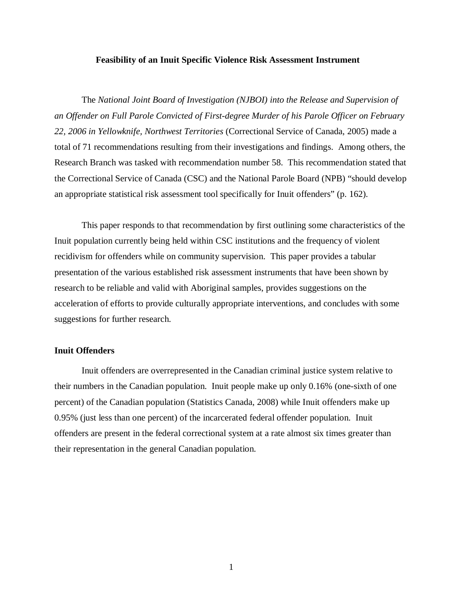#### **Feasibility of an Inuit Specific Violence Risk Assessment Instrument**

The *National Joint Board of Investigation (NJBOI) into the Release and Supervision of an Offender on Full Parole Convicted of First-degree Murder of his Parole Officer on February 22, 2006 in Yellowknife, Northwest Territories* (Correctional Service of Canada, 2005) made a total of 71 recommendations resulting from their investigations and findings. Among others, the Research Branch was tasked with recommendation number 58. This recommendation stated that the Correctional Service of Canada (CSC) and the National Parole Board (NPB) "should develop an appropriate statistical risk assessment tool specifically for Inuit offenders" (p. 162).

This paper responds to that recommendation by first outlining some characteristics of the Inuit population currently being held within CSC institutions and the frequency of violent recidivism for offenders while on community supervision. This paper provides a tabular presentation of the various established risk assessment instruments that have been shown by research to be reliable and valid with Aboriginal samples, provides suggestions on the acceleration of efforts to provide culturally appropriate interventions, and concludes with some suggestions for further research.

#### **Inuit Offenders**

Inuit offenders are overrepresented in the Canadian criminal justice system relative to their numbers in the Canadian population. Inuit people make up only 0.16% (one-sixth of one percent) of the Canadian population (Statistics Canada, 2008) while Inuit offenders make up 0.95% (just less than one percent) of the incarcerated federal offender population. Inuit offenders are present in the federal correctional system at a rate almost six times greater than their representation in the general Canadian population.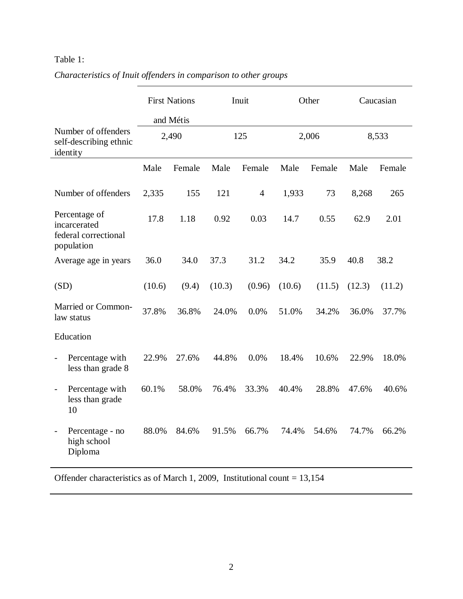### Table 1:

|                                                                       | <b>First Nations</b><br>and Métis |        |        | Inuit          |        | Other  |        | Caucasian |  |
|-----------------------------------------------------------------------|-----------------------------------|--------|--------|----------------|--------|--------|--------|-----------|--|
| Number of offenders<br>self-describing ethnic<br>identity             | 2,490                             |        | 125    |                | 2,006  |        | 8,533  |           |  |
|                                                                       | Male                              | Female | Male   | Female         | Male   | Female | Male   | Female    |  |
| Number of offenders                                                   | 2,335                             | 155    | 121    | $\overline{4}$ | 1,933  | 73     | 8,268  | 265       |  |
| Percentage of<br>incarcerated<br>federal correctional<br>population   | 17.8                              | 1.18   | 0.92   | 0.03           | 14.7   | 0.55   | 62.9   | 2.01      |  |
| Average age in years                                                  | 36.0                              | 34.0   | 37.3   | 31.2           | 34.2   | 35.9   | 40.8   | 38.2      |  |
| (SD)                                                                  | (10.6)                            | (9.4)  | (10.3) | (0.96)         | (10.6) | (11.5) | (12.3) | (11.2)    |  |
| Married or Common-<br>law status                                      | 37.8%                             | 36.8%  | 24.0%  | 0.0%           | 51.0%  | 34.2%  | 36.0%  | 37.7%     |  |
| Education                                                             |                                   |        |        |                |        |        |        |           |  |
| Percentage with<br>less than grade 8                                  | 22.9%                             | 27.6%  | 44.8%  | 0.0%           | 18.4%  | 10.6%  | 22.9%  | 18.0%     |  |
| Percentage with<br>$\overline{\phantom{a}}$<br>less than grade<br>10  | 60.1%                             | 58.0%  | 76.4%  | 33.3%          | 40.4%  | 28.8%  | 47.6%  | 40.6%     |  |
| Percentage - no<br>$\overline{\phantom{0}}$<br>high school<br>Diploma | 88.0%                             | 84.6%  | 91.5%  | 66.7%          | 74.4%  | 54.6%  | 74.7%  | 66.2%     |  |

*Characteristics of Inuit offenders in comparison to other groups*

Offender characteristics as of March 1, 2009, Institutional count = 13,154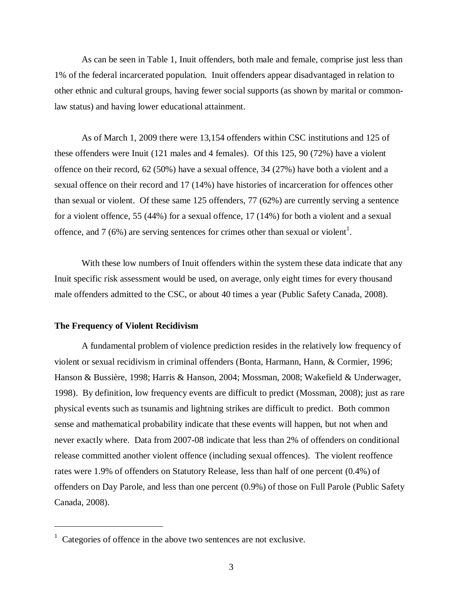As can be seen in Table 1, Inuit offenders, both male and female, comprise just less than 1% of the federal incarcerated population. Inuit offenders appear disadvantaged in relation to other ethnic and cultural groups, having fewer social supports (as shown by marital or commonlaw status) and having lower educational attainment.

As of March 1, 2009 there were 13,154 offenders within CSC institutions and 125 of these offenders were Inuit (121 males and 4 females). Of this 125, 90 (72%) have a violent offence on their record, 62 (50%) have a sexual offence, 34 (27%) have both a violent and a sexual offence on their record and 17 (14%) have histories of incarceration for offences other than sexual or violent. Of these same 125 offenders, 77 (62%) are currently serving a sentence for a violent offence, 55 (44%) for a sexual offence, 17 (14%) for both a violent and a sexual offence, and 7 (6%) are serving sentences for crimes other than sexual or violent<sup>1</sup>.

With these low numbers of Inuit offenders within the system these data indicate that any Inuit specific risk assessment would be used, on average, only eight times for every thousand male offenders admitted to the CSC, or about 40 times a year (Public Safety Canada, 2008).

#### **The Frequency of Violent Recidivism**

 $\overline{a}$ 

A fundamental problem of violence prediction resides in the relatively low frequency of violent or sexual recidivism in criminal offenders (Bonta, Harmann, Hann, & Cormier, 1996; Hanson & Bussière, 1998; Harris & Hanson, 2004; Mossman, 2008; Wakefield & Underwager, 1998). By definition, low frequency events are difficult to predict (Mossman, 2008); just as rare physical events such as tsunamis and lightning strikes are difficult to predict. Both common sense and mathematical probability indicate that these events will happen, but not when and never exactly where. Data from 2007-08 indicate that less than 2% of offenders on conditional release committed another violent offence (including sexual offences). The violent reoffence rates were 1.9% of offenders on Statutory Release, less than half of one percent (0.4%) of offenders on Day Parole, and less than one percent (0.9%) of those on Full Parole (Public Safety Canada, 2008).

<sup>&</sup>lt;sup>1</sup> Categories of offence in the above two sentences are not exclusive.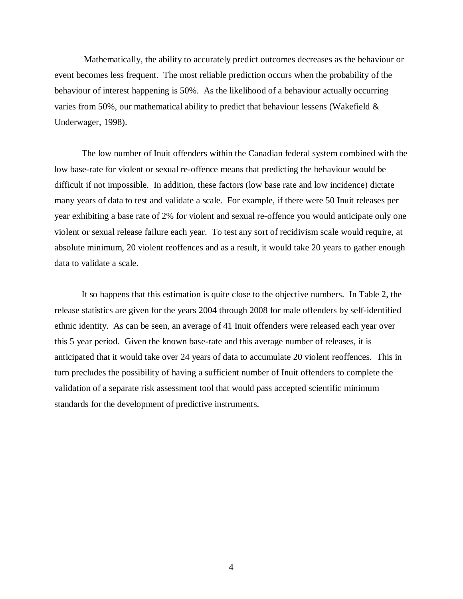Mathematically, the ability to accurately predict outcomes decreases as the behaviour or event becomes less frequent. The most reliable prediction occurs when the probability of the behaviour of interest happening is 50%. As the likelihood of a behaviour actually occurring varies from 50%, our mathematical ability to predict that behaviour lessens (Wakefield & Underwager, 1998).

The low number of Inuit offenders within the Canadian federal system combined with the low base-rate for violent or sexual re-offence means that predicting the behaviour would be difficult if not impossible. In addition, these factors (low base rate and low incidence) dictate many years of data to test and validate a scale. For example, if there were 50 Inuit releases per year exhibiting a base rate of 2% for violent and sexual re-offence you would anticipate only one violent or sexual release failure each year. To test any sort of recidivism scale would require, at absolute minimum, 20 violent reoffences and as a result, it would take 20 years to gather enough data to validate a scale.

It so happens that this estimation is quite close to the objective numbers. In Table 2, the release statistics are given for the years 2004 through 2008 for male offenders by self-identified ethnic identity. As can be seen, an average of 41 Inuit offenders were released each year over this 5 year period. Given the known base-rate and this average number of releases, it is anticipated that it would take over 24 years of data to accumulate 20 violent reoffences. This in turn precludes the possibility of having a sufficient number of Inuit offenders to complete the validation of a separate risk assessment tool that would pass accepted scientific minimum standards for the development of predictive instruments.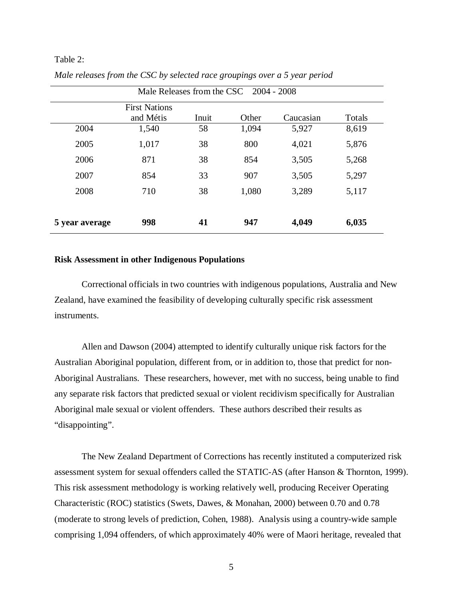#### Table 2:

| Male Releases from the CSC 2004 - 2008 |                      |       |       |           |        |
|----------------------------------------|----------------------|-------|-------|-----------|--------|
|                                        | <b>First Nations</b> |       |       |           |        |
|                                        | and Métis            | Inuit | Other | Caucasian | Totals |
| 2004                                   | 1,540                | 58    | 1,094 | 5,927     | 8,619  |
| 2005                                   | 1,017                | 38    | 800   | 4,021     | 5,876  |
| 2006                                   | 871                  | 38    | 854   | 3,505     | 5,268  |
| 2007                                   | 854                  | 33    | 907   | 3,505     | 5,297  |
| 2008                                   | 710                  | 38    | 1,080 | 3,289     | 5,117  |
|                                        |                      |       |       |           |        |
| 5 year average                         | 998                  | 41    | 947   | 4,049     | 6,035  |

*Male releases from the CSC by selected race groupings over a 5 year period*

#### **Risk Assessment in other Indigenous Populations**

Correctional officials in two countries with indigenous populations, Australia and New Zealand, have examined the feasibility of developing culturally specific risk assessment instruments.

Allen and Dawson (2004) attempted to identify culturally unique risk factors for the Australian Aboriginal population, different from, or in addition to, those that predict for non-Aboriginal Australians. These researchers, however, met with no success, being unable to find any separate risk factors that predicted sexual or violent recidivism specifically for Australian Aboriginal male sexual or violent offenders. These authors described their results as "disappointing".

The New Zealand Department of Corrections has recently instituted a computerized risk assessment system for sexual offenders called the STATIC-AS (after Hanson & Thornton, 1999). This risk assessment methodology is working relatively well, producing Receiver Operating Characteristic (ROC) statistics (Swets, Dawes, & Monahan, 2000) between 0.70 and 0.78 (moderate to strong levels of prediction, Cohen, 1988). Analysis using a country-wide sample comprising 1,094 offenders, of which approximately 40% were of Maori heritage, revealed that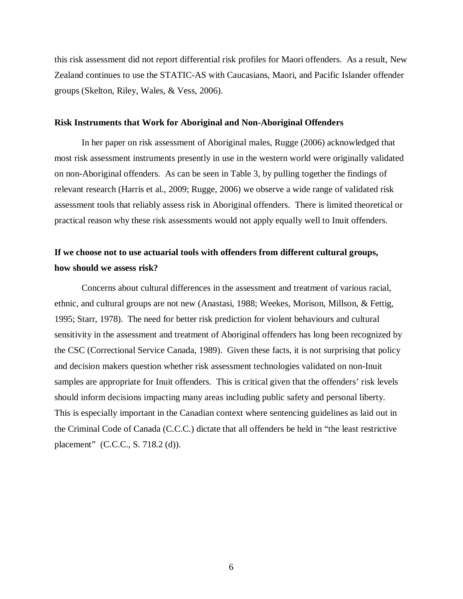this risk assessment did not report differential risk profiles for Maori offenders. As a result, New Zealand continues to use the STATIC-AS with Caucasians, Maori, and Pacific Islander offender groups (Skelton, Riley, Wales, & Vess, 2006).

#### **Risk Instruments that Work for Aboriginal and Non-Aboriginal Offenders**

In her paper on risk assessment of Aboriginal males, Rugge (2006) acknowledged that most risk assessment instruments presently in use in the western world were originally validated on non-Aboriginal offenders. As can be seen in Table 3, by pulling together the findings of relevant research (Harris et al., 2009; Rugge, 2006) we observe a wide range of validated risk assessment tools that reliably assess risk in Aboriginal offenders. There is limited theoretical or practical reason why these risk assessments would not apply equally well to Inuit offenders.

## **If we choose not to use actuarial tools with offenders from different cultural groups, how should we assess risk?**

Concerns about cultural differences in the assessment and treatment of various racial, ethnic, and cultural groups are not new (Anastasi, 1988; Weekes, Morison, Millson, & Fettig, 1995; Starr, 1978). The need for better risk prediction for violent behaviours and cultural sensitivity in the assessment and treatment of Aboriginal offenders has long been recognized by the CSC (Correctional Service Canada, 1989). Given these facts, it is not surprising that policy and decision makers question whether risk assessment technologies validated on non-Inuit samples are appropriate for Inuit offenders. This is critical given that the offenders' risk levels should inform decisions impacting many areas including public safety and personal liberty. This is especially important in the Canadian context where sentencing guidelines as laid out in the Criminal Code of Canada (C.C.C.) dictate that all offenders be held in "the least restrictive placement" (C.C.C., S. 718.2 (d)).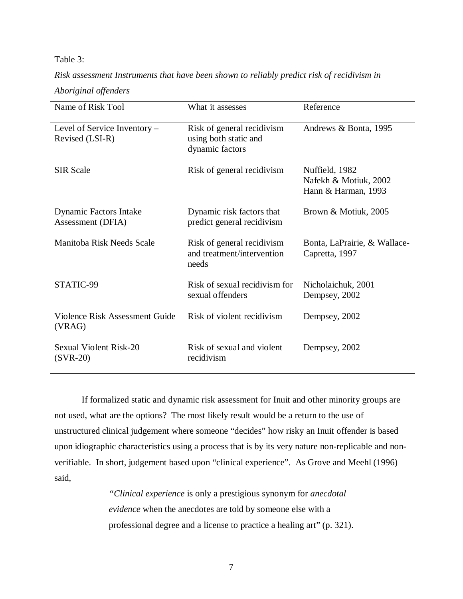### Table 3:

*Risk assessment Instruments that have been shown to reliably predict risk of recidivism in*

*Aboriginal offenders*

| Name of Risk Tool                               | What it assesses                                                       | Reference                                                      |
|-------------------------------------------------|------------------------------------------------------------------------|----------------------------------------------------------------|
| Level of Service Inventory -<br>Revised (LSI-R) | Risk of general recidivism<br>using both static and<br>dynamic factors | Andrews & Bonta, 1995                                          |
| <b>SIR Scale</b>                                | Risk of general recidivism                                             | Nuffield, 1982<br>Nafekh & Motiuk, 2002<br>Hann & Harman, 1993 |
| Dynamic Factors Intake<br>Assessment (DFIA)     | Dynamic risk factors that<br>predict general recidivism                | Brown & Motiuk, 2005                                           |
| Manitoba Risk Needs Scale                       | Risk of general recidivism<br>and treatment/intervention<br>needs      | Bonta, LaPrairie, & Wallace-<br>Capretta, 1997                 |
| STATIC-99                                       | Risk of sexual recidivism for<br>sexual offenders                      | Nicholaichuk, 2001<br>Dempsey, 2002                            |
| <b>Violence Risk Assessment Guide</b><br>(VRAG) | Risk of violent recidivism                                             | Dempsey, 2002                                                  |
| <b>Sexual Violent Risk-20</b><br>$(SVR-20)$     | Risk of sexual and violent<br>recidivism                               | Dempsey, 2002                                                  |

If formalized static and dynamic risk assessment for Inuit and other minority groups are not used, what are the options? The most likely result would be a return to the use of unstructured clinical judgement where someone "decides" how risky an Inuit offender is based upon idiographic characteristics using a process that is by its very nature non-replicable and nonverifiable. In short, judgement based upon "clinical experience". As Grove and Meehl (1996) said,

> *"Clinical experience* is only a prestigious synonym for *anecdotal evidence* when the anecdotes are told by someone else with a professional degree and a license to practice a healing art" (p. 321).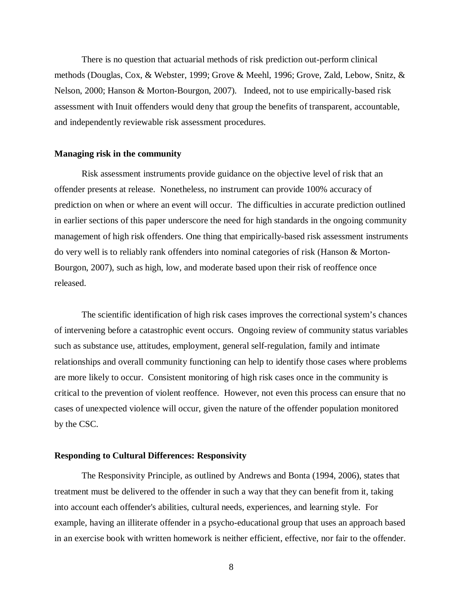There is no question that actuarial methods of risk prediction out-perform clinical methods (Douglas, Cox, & Webster, 1999; Grove & Meehl, 1996; Grove, Zald, Lebow, Snitz, & Nelson, 2000; Hanson & Morton-Bourgon, 2007). Indeed, not to use empirically-based risk assessment with Inuit offenders would deny that group the benefits of transparent, accountable, and independently reviewable risk assessment procedures.

#### **Managing risk in the community**

Risk assessment instruments provide guidance on the objective level of risk that an offender presents at release. Nonetheless, no instrument can provide 100% accuracy of prediction on when or where an event will occur. The difficulties in accurate prediction outlined in earlier sections of this paper underscore the need for high standards in the ongoing community management of high risk offenders. One thing that empirically-based risk assessment instruments do very well is to reliably rank offenders into nominal categories of risk (Hanson & Morton-Bourgon, 2007), such as high, low, and moderate based upon their risk of reoffence once released.

The scientific identification of high risk cases improves the correctional system's chances of intervening before a catastrophic event occurs. Ongoing review of community status variables such as substance use, attitudes, employment, general self-regulation, family and intimate relationships and overall community functioning can help to identify those cases where problems are more likely to occur. Consistent monitoring of high risk cases once in the community is critical to the prevention of violent reoffence. However, not even this process can ensure that no cases of unexpected violence will occur, given the nature of the offender population monitored by the CSC.

#### **Responding to Cultural Differences: Responsivity**

The Responsivity Principle, as outlined by Andrews and Bonta (1994, 2006), states that treatment must be delivered to the offender in such a way that they can benefit from it, taking into account each offender's abilities, cultural needs, experiences, and learning style. For example, having an illiterate offender in a psycho-educational group that uses an approach based in an exercise book with written homework is neither efficient, effective, nor fair to the offender.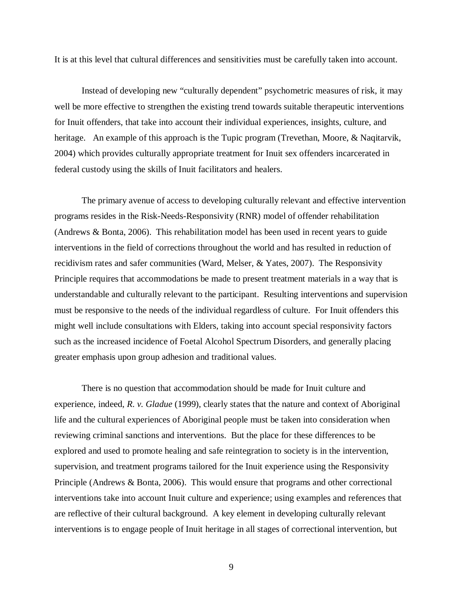It is at this level that cultural differences and sensitivities must be carefully taken into account.

Instead of developing new "culturally dependent" psychometric measures of risk, it may well be more effective to strengthen the existing trend towards suitable therapeutic interventions for Inuit offenders, that take into account their individual experiences, insights, culture, and heritage. An example of this approach is the Tupic program (Trevethan, Moore, & Naqitarvik, 2004) which provides culturally appropriate treatment for Inuit sex offenders incarcerated in federal custody using the skills of Inuit facilitators and healers.

The primary avenue of access to developing culturally relevant and effective intervention programs resides in the Risk-Needs-Responsivity (RNR) model of offender rehabilitation (Andrews & Bonta, 2006). This rehabilitation model has been used in recent years to guide interventions in the field of corrections throughout the world and has resulted in reduction of recidivism rates and safer communities (Ward, Melser, & Yates, 2007). The Responsivity Principle requires that accommodations be made to present treatment materials in a way that is understandable and culturally relevant to the participant. Resulting interventions and supervision must be responsive to the needs of the individual regardless of culture. For Inuit offenders this might well include consultations with Elders, taking into account special responsivity factors such as the increased incidence of Foetal Alcohol Spectrum Disorders, and generally placing greater emphasis upon group adhesion and traditional values.

There is no question that accommodation should be made for Inuit culture and experience, indeed, *R. v. Gladue* (1999), clearly states that the nature and context of Aboriginal life and the cultural experiences of Aboriginal people must be taken into consideration when reviewing criminal sanctions and interventions. But the place for these differences to be explored and used to promote healing and safe reintegration to society is in the intervention, supervision, and treatment programs tailored for the Inuit experience using the Responsivity Principle (Andrews & Bonta, 2006). This would ensure that programs and other correctional interventions take into account Inuit culture and experience; using examples and references that are reflective of their cultural background. A key element in developing culturally relevant interventions is to engage people of Inuit heritage in all stages of correctional intervention, but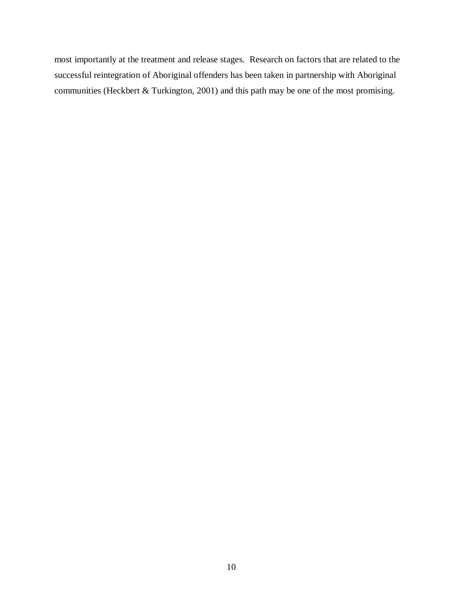most importantly at the treatment and release stages. Research on factors that are related to the successful reintegration of Aboriginal offenders has been taken in partnership with Aboriginal communities (Heckbert & Turkington, 2001) and this path may be one of the most promising.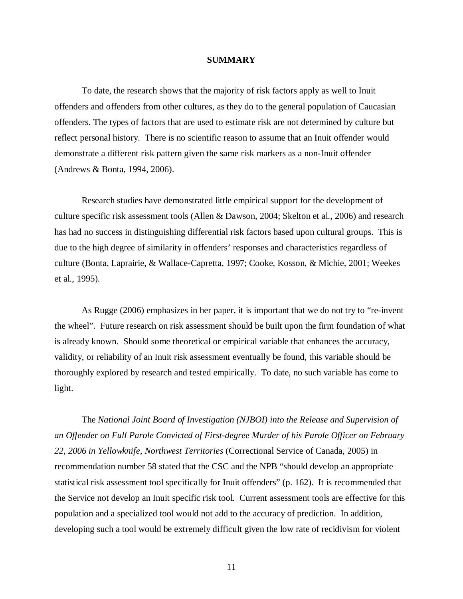#### **SUMMARY**

To date, the research shows that the majority of risk factors apply as well to Inuit offenders and offenders from other cultures, as they do to the general population of Caucasian offenders. The types of factors that are used to estimate risk are not determined by culture but reflect personal history. There is no scientific reason to assume that an Inuit offender would demonstrate a different risk pattern given the same risk markers as a non-Inuit offender (Andrews & Bonta, 1994, 2006).

Research studies have demonstrated little empirical support for the development of culture specific risk assessment tools (Allen & Dawson, 2004; Skelton et al., 2006) and research has had no success in distinguishing differential risk factors based upon cultural groups. This is due to the high degree of similarity in offenders' responses and characteristics regardless of culture (Bonta, Laprairie, & Wallace-Capretta, 1997; Cooke, Kosson, & Michie, 2001; Weekes et al., 1995).

As Rugge (2006) emphasizes in her paper, it is important that we do not try to "re-invent the wheel". Future research on risk assessment should be built upon the firm foundation of what is already known. Should some theoretical or empirical variable that enhances the accuracy, validity, or reliability of an Inuit risk assessment eventually be found, this variable should be thoroughly explored by research and tested empirically. To date, no such variable has come to light.

The *National Joint Board of Investigation (NJBOI) into the Release and Supervision of an Offender on Full Parole Convicted of First-degree Murder of his Parole Officer on February 22, 2006 in Yellowknife, Northwest Territories* (Correctional Service of Canada, 2005) in recommendation number 58 stated that the CSC and the NPB "should develop an appropriate statistical risk assessment tool specifically for Inuit offenders" (p. 162). It is recommended that the Service not develop an Inuit specific risk tool. Current assessment tools are effective for this population and a specialized tool would not add to the accuracy of prediction. In addition, developing such a tool would be extremely difficult given the low rate of recidivism for violent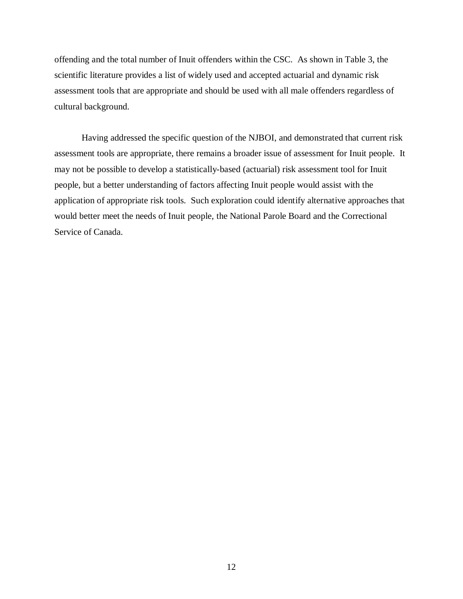offending and the total number of Inuit offenders within the CSC. As shown in Table 3, the scientific literature provides a list of widely used and accepted actuarial and dynamic risk assessment tools that are appropriate and should be used with all male offenders regardless of cultural background.

Having addressed the specific question of the NJBOI, and demonstrated that current risk assessment tools are appropriate, there remains a broader issue of assessment for Inuit people. It may not be possible to develop a statistically-based (actuarial) risk assessment tool for Inuit people, but a better understanding of factors affecting Inuit people would assist with the application of appropriate risk tools. Such exploration could identify alternative approaches that would better meet the needs of Inuit people, the National Parole Board and the Correctional Service of Canada.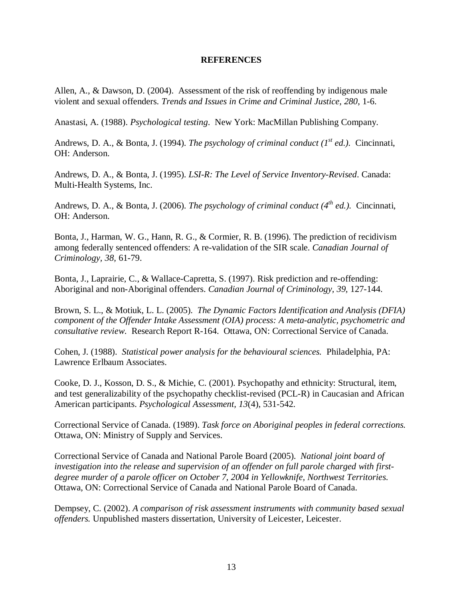### **REFERENCES**

Allen, A., & Dawson, D. (2004). Assessment of the risk of reoffending by indigenous male violent and sexual offenders. *Trends and Issues in Crime and Criminal Justice, 280*, 1-6.

Anastasi, A. (1988). *Psychological testing*. New York: MacMillan Publishing Company.

Andrews, D. A., & Bonta, J. (1994). *The psychology of criminal conduct (1st ed.).* Cincinnati, OH: Anderson.

Andrews, D. A., & Bonta, J. (1995). *LSI-R: The Level of Service Inventory-Revised*. Canada: Multi-Health Systems, Inc.

Andrews, D. A., & Bonta, J. (2006). *The psychology of criminal conduct* ( $4^{th}$  *ed.*). Cincinnati, OH: Anderson.

Bonta, J., Harman, W. G., Hann, R. G., & Cormier, R. B. (1996). The prediction of recidivism among federally sentenced offenders: A re-validation of the SIR scale. *Canadian Journal of Criminology, 38,* 61-79.

Bonta, J., Laprairie, C., & Wallace-Capretta, S. (1997). Risk prediction and re-offending: Aboriginal and non-Aboriginal offenders. *Canadian Journal of Criminology, 39,* 127-144.

Brown, S. L., & Motiuk, L. L. (2005). *The Dynamic Factors Identification and Analysis (DFIA) component of the Offender Intake Assessment (OIA) process: A meta-analytic, psychometric and consultative review*. Research Report R-164. Ottawa, ON: Correctional Service of Canada.

Cohen, J. (1988). *Statistical power analysis for the behavioural sciences.* Philadelphia, PA: Lawrence Erlbaum Associates.

Cooke, D. J., Kosson, D. S., & Michie, C. (2001). Psychopathy and ethnicity: Structural, item, and test generalizability of the psychopathy checklist-revised (PCL-R) in Caucasian and African American participants. *Psychological Assessment, 13*(4), 531-542.

Correctional Service of Canada. (1989). *Task force on Aboriginal peoples in federal corrections.* Ottawa, ON: Ministry of Supply and Services.

Correctional Service of Canada and National Parole Board (2005). *National joint board of investigation into the release and supervision of an offender on full parole charged with firstdegree murder of a parole officer on October 7, 2004 in Yellowknife, Northwest Territories.* Ottawa, ON: Correctional Service of Canada and National Parole Board of Canada.

Dempsey, C. (2002). *A comparison of risk assessment instruments with community based sexual offenders.* Unpublished masters dissertation, University of Leicester, Leicester.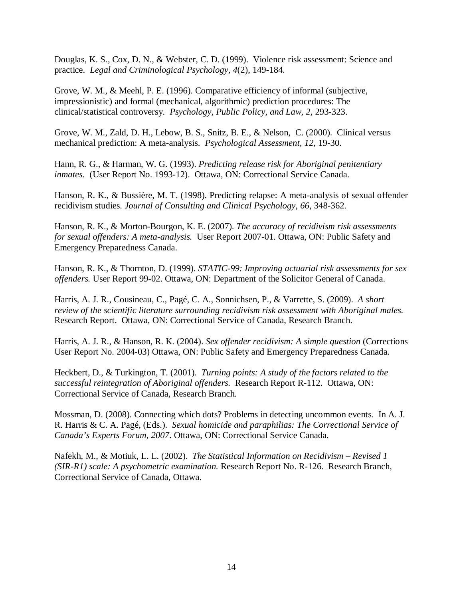Douglas, K. S., Cox, D. N., & Webster, C. D. (1999). Violence risk assessment: Science and practice. *Legal and Criminological Psychology, 4*(2), 149-184.

Grove, W. M., & Meehl, P. E. (1996). Comparative efficiency of informal (subjective, impressionistic) and formal (mechanical, algorithmic) prediction procedures: The clinical/statistical controversy. *Psychology, Public Policy, and Law, 2,* 293-323.

Grove, W. M., Zald, D. H., Lebow, B. S., Snitz, B. E., & Nelson, C. (2000). Clinical versus mechanical prediction: A meta-analysis. *Psychological Assessment, 12,* 19-30.

Hann, R. G., & Harman, W. G. (1993). *Predicting release risk for Aboriginal penitentiary inmates.* (User Report No. 1993-12). Ottawa, ON: Correctional Service Canada.

Hanson, R. K., & Bussière, M. T. (1998). Predicting relapse: A meta-analysis of sexual offender recidivism studies. *Journal of Consulting and Clinical Psychology, 66*, 348-362.

Hanson, R. K., & Morton-Bourgon, K. E. (2007). *The accuracy of recidivism risk assessments for sexual offenders: A meta-analysis.* User Report 2007-01. Ottawa, ON: Public Safety and Emergency Preparedness Canada.

Hanson, R. K., & Thornton, D. (1999). *STATIC-99: Improving actuarial risk assessments for sex offenders.* User Report 99-02. Ottawa, ON: Department of the Solicitor General of Canada.

Harris, A. J. R., Cousineau, C., Pagé, C. A., Sonnichsen, P., & Varrette, S. (2009). *A short review of the scientific literature surrounding recidivism risk assessment with Aboriginal males.* Research Report. Ottawa, ON: Correctional Service of Canada, Research Branch.

Harris, A. J. R., & Hanson, R. K. (2004). *Sex offender recidivism: A simple question* (Corrections User Report No. 2004-03) Ottawa, ON: Public Safety and Emergency Preparedness Canada.

Heckbert, D., & Turkington, T. (2001). *Turning points: A study of the factors related to the successful reintegration of Aboriginal offenders.* Research Report R-112. Ottawa, ON: Correctional Service of Canada, Research Branch.

Mossman, D. (2008). Connecting which dots? Problems in detecting uncommon events. In A. J. R. Harris & C. A. Pagé, (Eds.). *Sexual homicide and paraphilias: The Correctional Service of Canada's Experts Forum, 2007*. Ottawa, ON: Correctional Service Canada.

Nafekh, M., & Motiuk, L. L. (2002). *The Statistical Information on Recidivism – Revised 1 (SIR-R1) scale: A psychometric examination.* Research Report No. R-126. Research Branch, Correctional Service of Canada, Ottawa.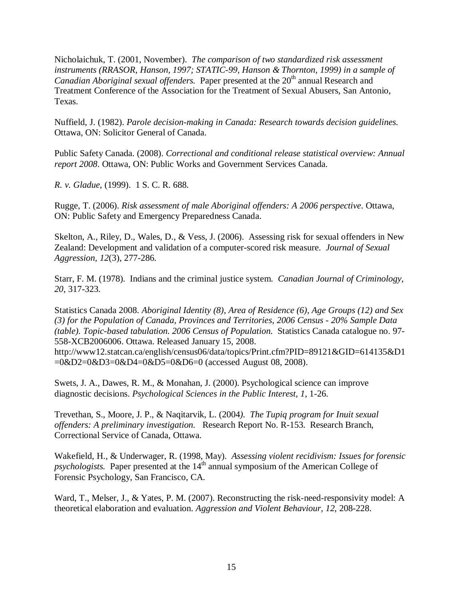Nicholaichuk, T. (2001, November). *The comparison of two standardized risk assessment instruments (RRASOR, Hanson, 1997; STATIC-99, Hanson & Thornton, 1999) in a sample of Canadian Aboriginal sexual offenders.* Paper presented at the 20<sup>th</sup> annual Research and Treatment Conference of the Association for the Treatment of Sexual Abusers, San Antonio, Texas.

Nuffield, J. (1982). *Parole decision-making in Canada: Research towards decision guidelines.* Ottawa, ON: Solicitor General of Canada.

Public Safety Canada. (2008). *Correctional and conditional release statistical overview: Annual report 2008*. Ottawa, ON: Public Works and Government Services Canada.

*R. v. Gladue*, (1999). 1 S. C. R. 688.

Rugge, T. (2006). *Risk assessment of male Aboriginal offenders: A 2006 perspective*. Ottawa, ON: Public Safety and Emergency Preparedness Canada.

Skelton, A., Riley, D., Wales, D., & Vess, J. (2006). Assessing risk for sexual offenders in New Zealand: Development and validation of a computer-scored risk measure. *Journal of Sexual Aggression, 12*(3), 277-286.

Starr, F. M. (1978). Indians and the criminal justice system. *Canadian Journal of Criminology, 20*, 317-323.

Statistics Canada 2008. *Aboriginal Identity (8), Area of Residence (6), Age Groups (12) and Sex (3) for the Population of Canada, Provinces and Territories, 2006 Census - 20% Sample Data (table). Topic-based tabulation. 2006 Census of Population.* Statistics Canada catalogue no. 97- 558-XCB2006006. Ottawa. Released January 15, 2008.

http://www12.statcan.ca/english/census06/data/topics/Print.cfm?PID=89121&GID=614135&D1 =0&D2=0&D3=0&D4=0&D5=0&D6=0 (accessed August 08, 2008).

Swets, J. A., Dawes, R. M., & Monahan, J. (2000). Psychological science can improve diagnostic decisions. *Psychological Sciences in the Public Interest, 1*, 1-26.

Trevethan, S., Moore, J. P., & Naqitarvik, L. (2004*). The Tupiq program for Inuit sexual offenders: A preliminary investigation.* Research Report No. R-153. Research Branch, Correctional Service of Canada, Ottawa.

Wakefield, H., & Underwager, R. (1998, May). *Assessing violent recidivism: Issues for forensic*   $p$ sychologists. Paper presented at the  $14<sup>th</sup>$  annual symposium of the American College of Forensic Psychology, San Francisco, CA.

Ward, T., Melser, J., & Yates, P. M. (2007). Reconstructing the risk-need-responsivity model: A theoretical elaboration and evaluation. *Aggression and Violent Behaviour, 12*, 208-228.